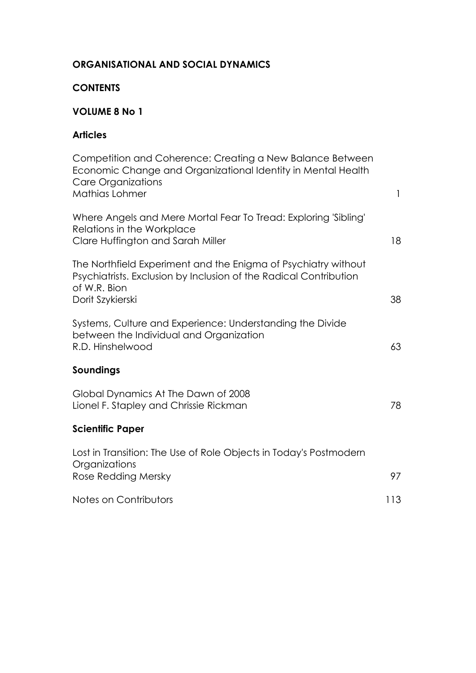### **ORGANISATIONAL AND SOCIAL DYNAMICS**

#### **CONTENTS**

## **VOLUME 8 No 1**

### **Articles**

| $\mathbf{1}$ |
|--------------|
| 18           |
| 38           |
| 63           |
|              |
| 78           |
|              |
| 97           |
| 113          |
|              |